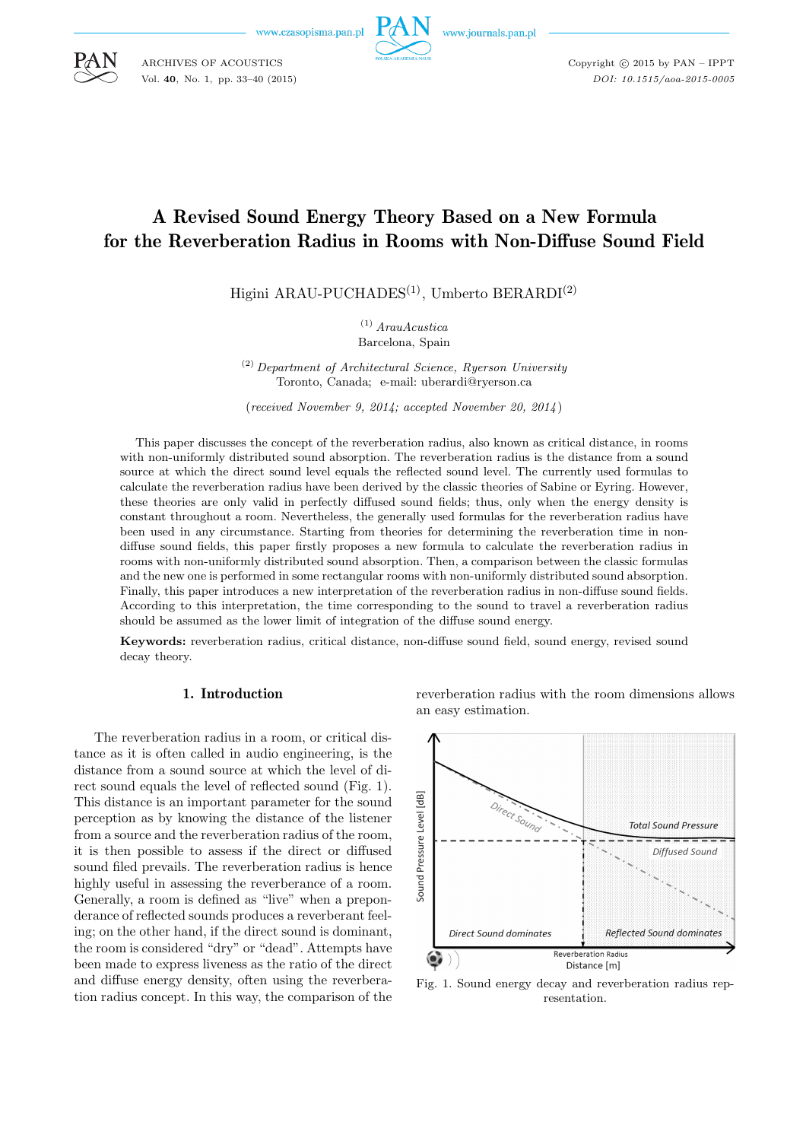www.czasopisma.pan.p



www.journals.pan.pl

Copyright  $\odot$  2015 by PAN - IPPT *DOI: 10.1515/aoa-2015-0005*

# A Revised Sound Energy Theory Based on a New Formula for the Reverberation Radius in Rooms with Non-Diffuse Sound Field

Higini ARAU-PUCHADES<sup>(1)</sup>, Umberto BERARDI<sup>(2)</sup>

(1) *ArauAcustica* Barcelona, Spain

(2) *Department of Architectural Science, Ryerson University* Toronto, Canada; e-mail: uberardi@ryerson.ca

(*received November 9, 2014; accepted November 20, 2014*)

This paper discusses the concept of the reverberation radius, also known as critical distance, in rooms with non-uniformly distributed sound absorption. The reverberation radius is the distance from a sound source at which the direct sound level equals the reflected sound level. The currently used formulas to calculate the reverberation radius have been derived by the classic theories of Sabine or Eyring. However, these theories are only valid in perfectly diffused sound fields; thus, only when the energy density is constant throughout a room. Nevertheless, the generally used formulas for the reverberation radius have been used in any circumstance. Starting from theories for determining the reverberation time in nondiffuse sound fields, this paper firstly proposes a new formula to calculate the reverberation radius in rooms with non-uniformly distributed sound absorption. Then, a comparison between the classic formulas and the new one is performed in some rectangular rooms with non-uniformly distributed sound absorption. Finally, this paper introduces a new interpretation of the reverberation radius in non-diffuse sound fields. According to this interpretation, the time corresponding to the sound to travel a reverberation radius should be assumed as the lower limit of integration of the diffuse sound energy.

**Keywords:** reverberation radius, critical distance, non-diffuse sound field, sound energy, revised sound decay theory.

#### 1. Introduction

The reverberation radius in a room, or critical distance as it is often called in audio engineering, is the distance from a sound source at which the level of direct sound equals the level of reflected sound (Fig. 1). This distance is an important parameter for the sound perception as by knowing the distance of the listener from a source and the reverberation radius of the room, it is then possible to assess if the direct or diffused sound filed prevails. The reverberation radius is hence highly useful in assessing the reverberance of a room. Generally, a room is defined as "live" when a preponderance of reflected sounds produces a reverberant feeling; on the other hand, if the direct sound is dominant, the room is considered "dry" or "dead". Attempts have been made to express liveness as the ratio of the direct and diffuse energy density, often using the reverberation radius concept. In this way, the comparison of the reverberation radius with the room dimensions allows an easy estimation.



Fig. 1. Sound energy decay and reverberation radius representation.



ARCHIVES OF ACOUSTICS Vol. **40**, No. 1, pp. 33–40 (2015)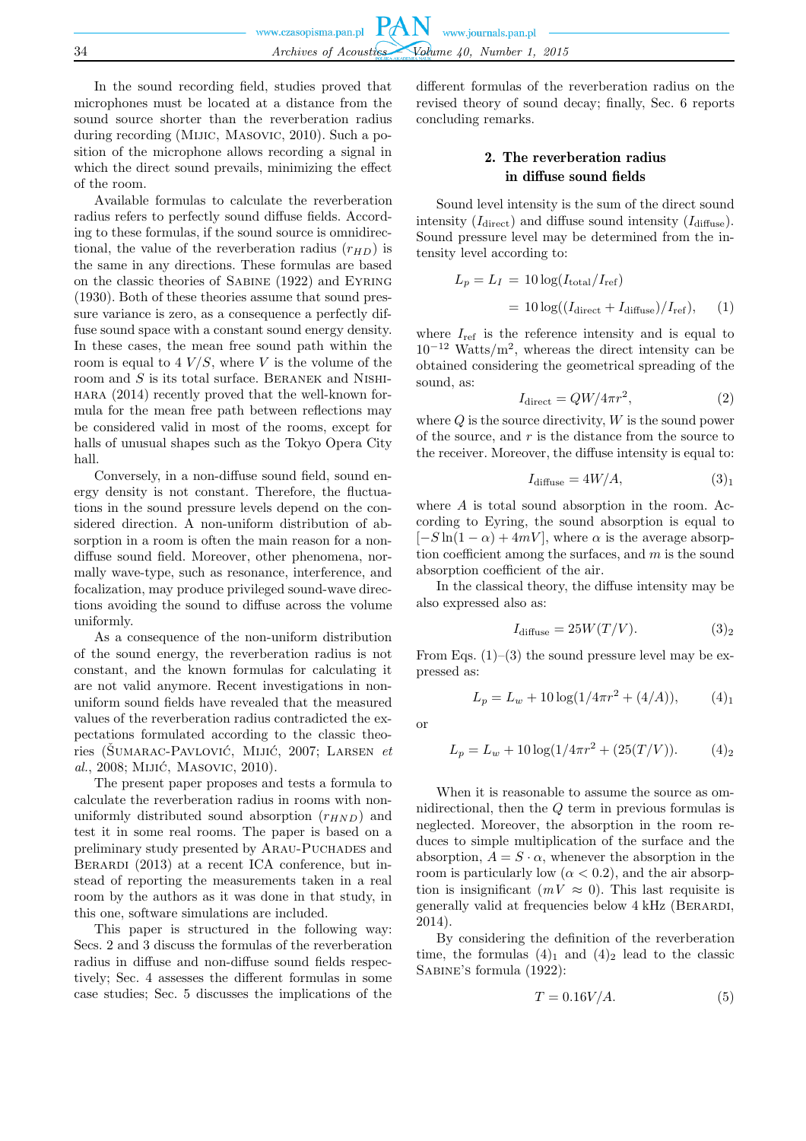In the sound recording field, studies proved that microphones must be located at a distance from the sound source shorter than the reverberation radius during recording (Mijic, Masovic, 2010). Such a position of the microphone allows recording a signal in which the direct sound prevails, minimizing the effect of the room.

Available formulas to calculate the reverberation radius refers to perfectly sound diffuse fields. According to these formulas, if the sound source is omnidirectional, the value of the reverberation radius  $(r_{HD})$  is the same in any directions. These formulas are based on the classic theories of Sabine (1922) and Eyring (1930). Both of these theories assume that sound pressure variance is zero, as a consequence a perfectly diffuse sound space with a constant sound energy density. In these cases, the mean free sound path within the room is equal to  $4 V/S$ , where V is the volume of the room and  $S$  is its total surface. BERANEK and NISHIhara (2014) recently proved that the well-known formula for the mean free path between reflections may be considered valid in most of the rooms, except for halls of unusual shapes such as the Tokyo Opera City hall.

Conversely, in a non-diffuse sound field, sound energy density is not constant. Therefore, the fluctuations in the sound pressure levels depend on the considered direction. A non-uniform distribution of absorption in a room is often the main reason for a nondiffuse sound field. Moreover, other phenomena, normally wave-type, such as resonance, interference, and focalization, may produce privileged sound-wave directions avoiding the sound to diffuse across the volume uniformly.

As a consequence of the non-uniform distribution of the sound energy, the reverberation radius is not constant, and the known formulas for calculating it are not valid anymore. Recent investigations in nonuniform sound fields have revealed that the measured values of the reverberation radius contradicted the expectations formulated according to the classic theories (ŠUMARAC-PAVLOVIĆ, MIJIĆ, 2007; LARSEN *et al.*, 2008; Mijić, Masovic, 2010).

The present paper proposes and tests a formula to calculate the reverberation radius in rooms with nonuniformly distributed sound absorption  $(r_{HND})$  and test it in some real rooms. The paper is based on a preliminary study presented by Arau-Puchades and BERARDI (2013) at a recent ICA conference, but instead of reporting the measurements taken in a real room by the authors as it was done in that study, in this one, software simulations are included.

This paper is structured in the following way: Secs. 2 and 3 discuss the formulas of the reverberation radius in diffuse and non-diffuse sound fields respectively; Sec. 4 assesses the different formulas in some case studies; Sec. 5 discusses the implications of the

different formulas of the reverberation radius on the revised theory of sound decay; finally, Sec. 6 reports concluding remarks.

## 2. The reverberation radius in diffuse sound fields

Sound level intensity is the sum of the direct sound intensity  $(I_{\text{direct}})$  and diffuse sound intensity  $(I_{\text{diffuse}})$ . Sound pressure level may be determined from the intensity level according to:

$$
L_p = L_I = 10 \log(I_{\text{total}}/I_{\text{ref}})
$$
  
= 10 log((I\_{\text{direct}} + I\_{\text{diffuse}})/I\_{\text{ref}}), (1)

where  $I_{ref}$  is the reference intensity and is equal to  $10^{-12}$  Watts/m<sup>2</sup>, whereas the direct intensity can be obtained considering the geometrical spreading of the sound, as:

$$
I_{\text{direct}} = QW/4\pi r^2,\tag{2}
$$

where  $Q$  is the source directivity,  $W$  is the sound power of the source, and  $r$  is the distance from the source to the receiver. Moreover, the diffuse intensity is equal to:

$$
I_{\text{diffuse}} = 4W/A,\tag{3}_1
$$

where A is total sound absorption in the room. According to Eyring, the sound absorption is equal to  $[-S \ln(1-\alpha) + 4mV]$ , where  $\alpha$  is the average absorption coefficient among the surfaces, and  $m$  is the sound absorption coefficient of the air.

In the classical theory, the diffuse intensity may be also expressed also as:

$$
I_{\text{diffuse}} = 25W(T/V). \tag{3)_2}
$$

From Eqs.  $(1)$ – $(3)$  the sound pressure level may be expressed as:

$$
L_p = L_w + 10 \log(1/4\pi r^2 + (4/A)), \tag{4}_1
$$

or

$$
L_p = L_w + 10\log(1/4\pi r^2 + (25(T/V)).
$$
 (4)<sub>2</sub>

When it is reasonable to assume the source as omnidirectional, then the Q term in previous formulas is neglected. Moreover, the absorption in the room reduces to simple multiplication of the surface and the absorption,  $A = S \cdot \alpha$ , whenever the absorption in the room is particularly low  $(\alpha < 0.2)$ , and the air absorption is insignificant  $(mV \approx 0)$ . This last requisite is generally valid at frequencies below 4 kHz (Berardi, 2014).

By considering the definition of the reverberation time, the formulas  $(4)_1$  and  $(4)_2$  lead to the classic Sabine's formula (1922):

$$
T = 0.16V/A.
$$
 (5)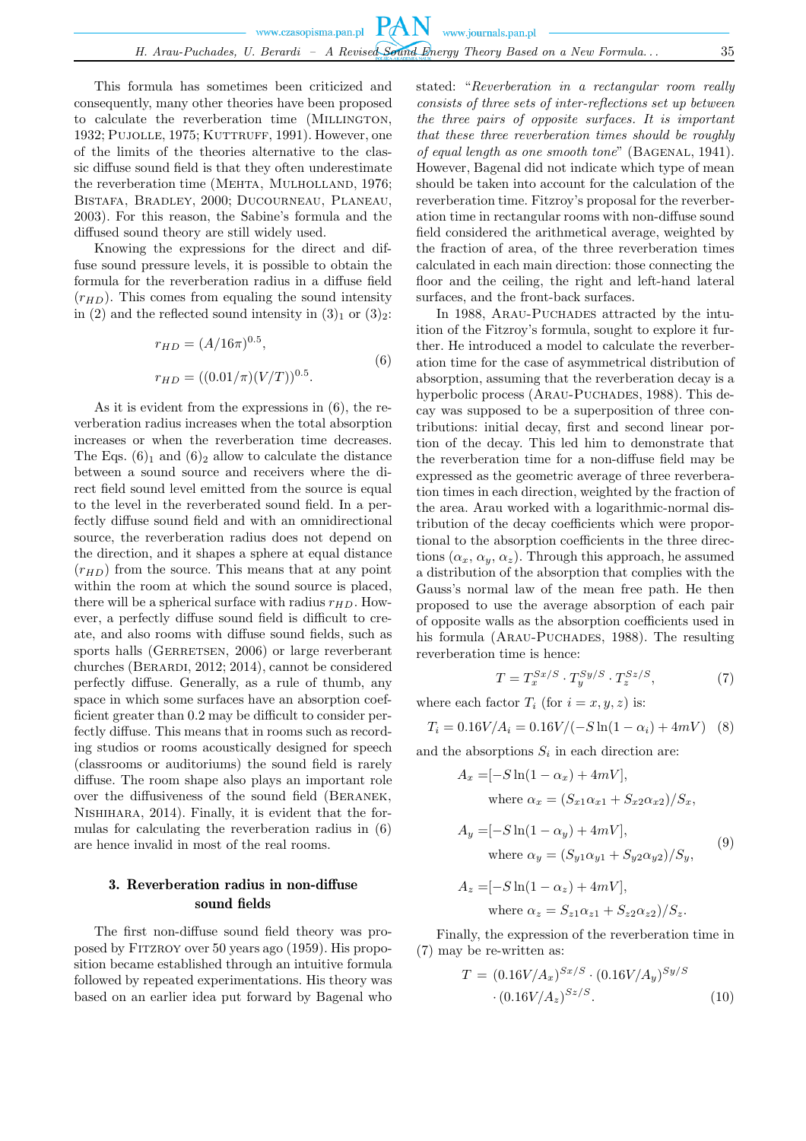This formula has sometimes been criticized and consequently, many other theories have been proposed to calculate the reverberation time (MILLINGTON, 1932; PUJOLLE, 1975; KUTTRUFF, 1991). However, one of the limits of the theories alternative to the classic diffuse sound field is that they often underestimate the reverberation time (MEHTA, MULHOLLAND, 1976; Bistafa, Bradley, 2000; Ducourneau, Planeau, 2003). For this reason, the Sabine's formula and the diffused sound theory are still widely used.

Knowing the expressions for the direct and diffuse sound pressure levels, it is possible to obtain the formula for the reverberation radius in a diffuse field  $(r_{HD})$ . This comes from equaling the sound intensity in (2) and the reflected sound intensity in  $(3)<sub>1</sub>$  or  $(3)<sub>2</sub>$ :

$$
r_{HD} = (A/16\pi)^{0.5},
$$
  
\n
$$
r_{HD} = ((0.01/\pi)(V/T))^{0.5}.
$$
\n(6)

As it is evident from the expressions in (6), the reverberation radius increases when the total absorption increases or when the reverberation time decreases. The Eqs.  $(6)_1$  and  $(6)_2$  allow to calculate the distance between a sound source and receivers where the direct field sound level emitted from the source is equal to the level in the reverberated sound field. In a perfectly diffuse sound field and with an omnidirectional source, the reverberation radius does not depend on the direction, and it shapes a sphere at equal distance  $(r_{HD})$  from the source. This means that at any point within the room at which the sound source is placed, there will be a spherical surface with radius  $r_{HD}$ . However, a perfectly diffuse sound field is difficult to create, and also rooms with diffuse sound fields, such as sports halls (GERRETSEN, 2006) or large reverberant churches (Berardi, 2012; 2014), cannot be considered perfectly diffuse. Generally, as a rule of thumb, any space in which some surfaces have an absorption coefficient greater than 0.2 may be difficult to consider perfectly diffuse. This means that in rooms such as recording studios or rooms acoustically designed for speech (classrooms or auditoriums) the sound field is rarely diffuse. The room shape also plays an important role over the diffusiveness of the sound field (Beranek, Nishihara, 2014). Finally, it is evident that the formulas for calculating the reverberation radius in (6) are hence invalid in most of the real rooms.

## 3. Reverberation radius in non-diffuse sound fields

The first non-diffuse sound field theory was proposed by Fitzroy over 50 years ago (1959). His proposition became established through an intuitive formula followed by repeated experimentations. His theory was based on an earlier idea put forward by Bagenal who stated: "*Reverberation in a rectangular room really consists of three sets of inter-reflections set up between the three pairs of opposite surfaces. It is important that these three reverberation times should be roughly of equal length as one smooth tone*" (Bagenal, 1941). However, Bagenal did not indicate which type of mean should be taken into account for the calculation of the reverberation time. Fitzroy's proposal for the reverberation time in rectangular rooms with non-diffuse sound field considered the arithmetical average, weighted by the fraction of area, of the three reverberation times calculated in each main direction: those connecting the floor and the ceiling, the right and left-hand lateral surfaces, and the front-back surfaces.

In 1988, ARAU-PUCHADES attracted by the intuition of the Fitzroy's formula, sought to explore it further. He introduced a model to calculate the reverberation time for the case of asymmetrical distribution of absorption, assuming that the reverberation decay is a hyperbolic process (ARAU-PUCHADES, 1988). This decay was supposed to be a superposition of three contributions: initial decay, first and second linear portion of the decay. This led him to demonstrate that the reverberation time for a non-diffuse field may be expressed as the geometric average of three reverberation times in each direction, weighted by the fraction of the area. Arau worked with a logarithmic-normal distribution of the decay coefficients which were proportional to the absorption coefficients in the three directions  $(\alpha_x, \alpha_y, \alpha_z)$ . Through this approach, he assumed a distribution of the absorption that complies with the Gauss's normal law of the mean free path. He then proposed to use the average absorption of each pair of opposite walls as the absorption coefficients used in his formula (ARAU-PUCHADES, 1988). The resulting reverberation time is hence:

$$
T = T_x^{Sx/S} \cdot T_y^{Sy/S} \cdot T_z^{Sz/S},\tag{7}
$$

where each factor  $T_i$  (for  $i = x, y, z$ ) is:

$$
T_i = 0.16V/A_i = 0.16V/(-S\ln(1 - \alpha_i) + 4mV)
$$
 (8)

and the absorptions  $S_i$  in each direction are:

$$
A_x = [-S \ln(1 - \alpha_x) + 4mV],
$$
  
where  $\alpha_x = (S_{x1}\alpha_{x1} + S_{x2}\alpha_{x2})/S_x$ ,  

$$
A_y = [-S \ln(1 - \alpha_y) + 4mV],
$$
  
where  $\alpha_y = (S_{y1}\alpha_{y1} + S_{y2}\alpha_{y2})/S_y$ , (9)

$$
A_z = [-S \ln(1 - \alpha_z) + 4mV],
$$
  
where  $\alpha_z = S_{z1} \alpha_{z1} + S_{z2} \alpha_{z2})/S_z$ .

Finally, the expression of the reverberation time in (7) may be re-written as:

$$
T = (0.16V/A_x)^{Sx/S} \cdot (0.16V/A_y)^{Sy/S}
$$

$$
\cdot (0.16V/A_z)^{Sz/S}.\tag{10}
$$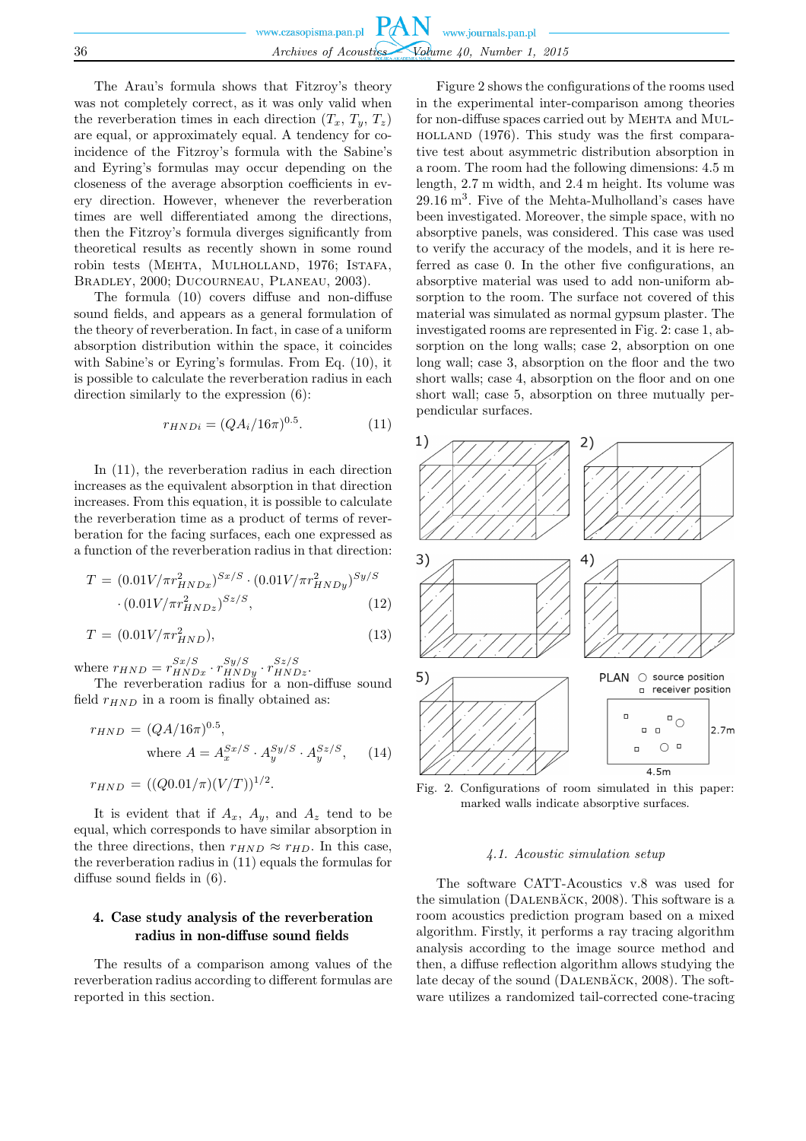|    | www.czasopisma.pan.pl $PAN$ www.journals.pan.pl |
|----|-------------------------------------------------|
|    |                                                 |
|    |                                                 |
| 36 | Archives of Acoustics Volume 40, Number 1, 2015 |
|    |                                                 |

The Arau's formula shows that Fitzroy's theory was not completely correct, as it was only valid when the reverberation times in each direction  $(T_x, T_y, T_z)$ are equal, or approximately equal. A tendency for coincidence of the Fitzroy's formula with the Sabine's and Eyring's formulas may occur depending on the closeness of the average absorption coefficients in every direction. However, whenever the reverberation times are well differentiated among the directions, then the Fitzroy's formula diverges significantly from theoretical results as recently shown in some round robin tests (MEHTA, MULHOLLAND, 1976; ISTAFA, Bradley, 2000; Ducourneau, Planeau, 2003).

The formula (10) covers diffuse and non-diffuse sound fields, and appears as a general formulation of the theory of reverberation. In fact, in case of a uniform absorption distribution within the space, it coincides with Sabine's or Eyring's formulas. From Eq. (10), it is possible to calculate the reverberation radius in each direction similarly to the expression (6):

$$
r_{HNDi} = (QA_i/16\pi)^{0.5}.
$$
 (11)

In (11), the reverberation radius in each direction increases as the equivalent absorption in that direction increases. From this equation, it is possible to calculate the reverberation time as a product of terms of reverberation for the facing surfaces, each one expressed as a function of the reverberation radius in that direction:

$$
T = (0.01V/\pi r_{HNDx}^2)^{Sx/S} \cdot (0.01V/\pi r_{HNDy}^2)^{Sy/S}
$$

$$
\cdot (0.01V/\pi r_{HNDz}^2)^{Sz/S}, \tag{12}
$$

$$
T = (0.01V/\pi r_{HND}^2),\tag{13}
$$

where  $r_{HND} = r_{HNDx}^{Sx/S} \cdot r_{HNDy}^{Sy/S} \cdot r_{HNDz}^{Sz/S}$ .

The reverberation radius for a non-diffuse sound field  $r_{HND}$  in a room is finally obtained as:

$$
r_{HND} = (QA/16\pi)^{0.5},
$$
  
where  $A = A_x^{Sx/S} \cdot A_y^{Sy/S} \cdot A_y^{Sz/S}$ , (14)

$$
r_{HND} = ((Q0.01/\pi)(V/T))^{1/2}.
$$

It is evident that if  $A_x$ ,  $A_y$ , and  $A_z$  tend to be equal, which corresponds to have similar absorption in the three directions, then  $r_{HND} \approx r_{HD}$ . In this case, the reverberation radius in (11) equals the formulas for diffuse sound fields in (6).

# 4. Case study analysis of the reverberation radius in non-diffuse sound fields

The results of a comparison among values of the reverberation radius according to different formulas are reported in this section.

Figure 2 shows the configurations of the rooms used in the experimental inter-comparison among theories for non-diffuse spaces carried out by MEHTA and MULholland (1976). This study was the first comparative test about asymmetric distribution absorption in a room. The room had the following dimensions: 4.5 m length, 2.7 m width, and 2.4 m height. Its volume was 29.16 m<sup>3</sup> . Five of the Mehta-Mulholland's cases have been investigated. Moreover, the simple space, with no absorptive panels, was considered. This case was used to verify the accuracy of the models, and it is here referred as case 0. In the other five configurations, an absorptive material was used to add non-uniform absorption to the room. The surface not covered of this material was simulated as normal gypsum plaster. The investigated rooms are represented in Fig. 2: case 1, absorption on the long walls; case 2, absorption on one long wall; case 3, absorption on the floor and the two short walls; case 4, absorption on the floor and on one short wall; case 5, absorption on three mutually perpendicular surfaces.



Fig. 2. Configurations of room simulated in this paper: marked walls indicate absorptive surfaces.

#### *4.1. Acoustic simulation setup*

The software CATT-Acoustics v.8 was used for the simulation ( $DALENBACK$ , 2008). This software is a room acoustics prediction program based on a mixed algorithm. Firstly, it performs a ray tracing algorithm analysis according to the image source method and then, a diffuse reflection algorithm allows studying the late decay of the sound  $(DALENBÄCK, 2008)$ . The software utilizes a randomized tail-corrected cone-tracing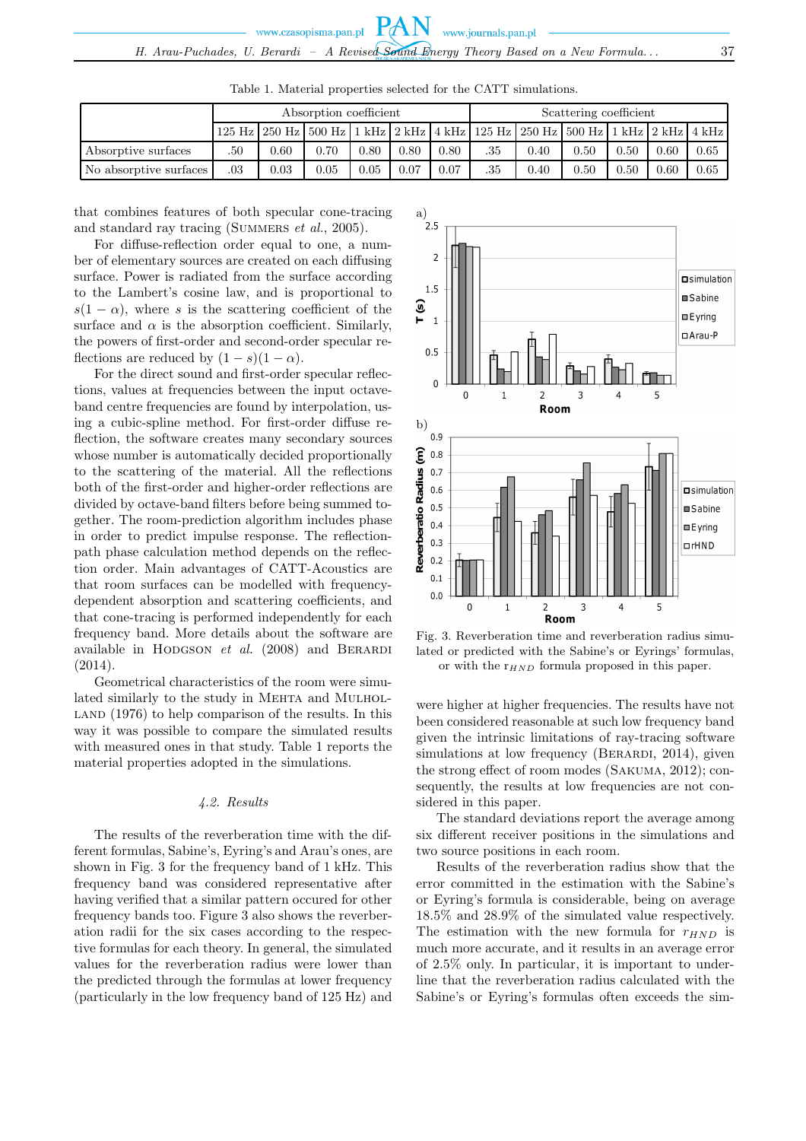|                        | Absorption coefficient |          |                                                                                                     |      |      |      | Scattering coefficient |      |      |      |      |      |
|------------------------|------------------------|----------|-----------------------------------------------------------------------------------------------------|------|------|------|------------------------|------|------|------|------|------|
|                        |                        |          | 125 Hz   250 Hz   500 Hz   1 kHz   2 kHz   4 kHz   125 Hz   250 Hz   500 Hz   1 kHz   2 kHz   4 kHz |      |      |      |                        |      |      |      |      |      |
| Absorptive surfaces    | .50                    | $0.60\,$ | 0.70                                                                                                | 0.80 | 0.80 | 0.80 | .35                    | 0.40 | 0.50 | 0.50 | 0.60 | 0.65 |
| No absorptive surfaces | .03                    | 0.03     | 0.05                                                                                                | 0.05 | 0.07 | 0.07 | .35                    | 0.40 | 0.50 | 0.50 | 0.60 | 0.65 |

Table 1. Material properties selected for the CATT simulations.

that combines features of both specular cone-tracing and standard ray tracing (SUMMERS *et al.*, 2005).

For diffuse-reflection order equal to one, a number of elementary sources are created on each diffusing surface. Power is radiated from the surface according to the Lambert's cosine law, and is proportional to  $s(1 - \alpha)$ , where s is the scattering coefficient of the surface and  $\alpha$  is the absorption coefficient. Similarly, the powers of first-order and second-order specular reflections are reduced by  $(1-s)(1-\alpha)$ .

For the direct sound and first-order specular reflections, values at frequencies between the input octaveband centre frequencies are found by interpolation, using a cubic-spline method. For first-order diffuse reflection, the software creates many secondary sources whose number is automatically decided proportionally to the scattering of the material. All the reflections both of the first-order and higher-order reflections are divided by octave-band filters before being summed together. The room-prediction algorithm includes phase in order to predict impulse response. The reflectionpath phase calculation method depends on the reflection order. Main advantages of CATT-Acoustics are that room surfaces can be modelled with frequencydependent absorption and scattering coefficients, and that cone-tracing is performed independently for each frequency band. More details about the software are available in HODGSON *et al.* (2008) and BERARDI (2014).

Geometrical characteristics of the room were simulated similarly to the study in MEHTA and MULHOL- $LAND (1976)$  to help comparison of the results. In this way it was possible to compare the simulated results with measured ones in that study. Table 1 reports the material properties adopted in the simulations.

#### *4.2. Results*

The results of the reverberation time with the different formulas, Sabine's, Eyring's and Arau's ones, are shown in Fig. 3 for the frequency band of 1 kHz. This frequency band was considered representative after having verified that a similar pattern occured for other frequency bands too. Figure 3 also shows the reverberation radii for the six cases according to the respective formulas for each theory. In general, the simulated values for the reverberation radius were lower than the predicted through the formulas at lower frequency (particularly in the low frequency band of 125 Hz) and



Fig. 3. Reverberation time and reverberation radius simulated or predicted with the Sabine's or Eyrings' formulas, or with the  $r_{HND}$  formula proposed in this paper.

were higher at higher frequencies. The results have not been considered reasonable at such low frequency band given the intrinsic limitations of ray-tracing software simulations at low frequency (BERARDI, 2014), given the strong effect of room modes (Sakuma, 2012); consequently, the results at low frequencies are not considered in this paper.

The standard deviations report the average among six different receiver positions in the simulations and two source positions in each room.

Results of the reverberation radius show that the error committed in the estimation with the Sabine's or Eyring's formula is considerable, being on average 18.5% and 28.9% of the simulated value respectively. The estimation with the new formula for  $r_{HND}$  is much more accurate, and it results in an average error of 2.5% only. In particular, it is important to underline that the reverberation radius calculated with the Sabine's or Eyring's formulas often exceeds the sim-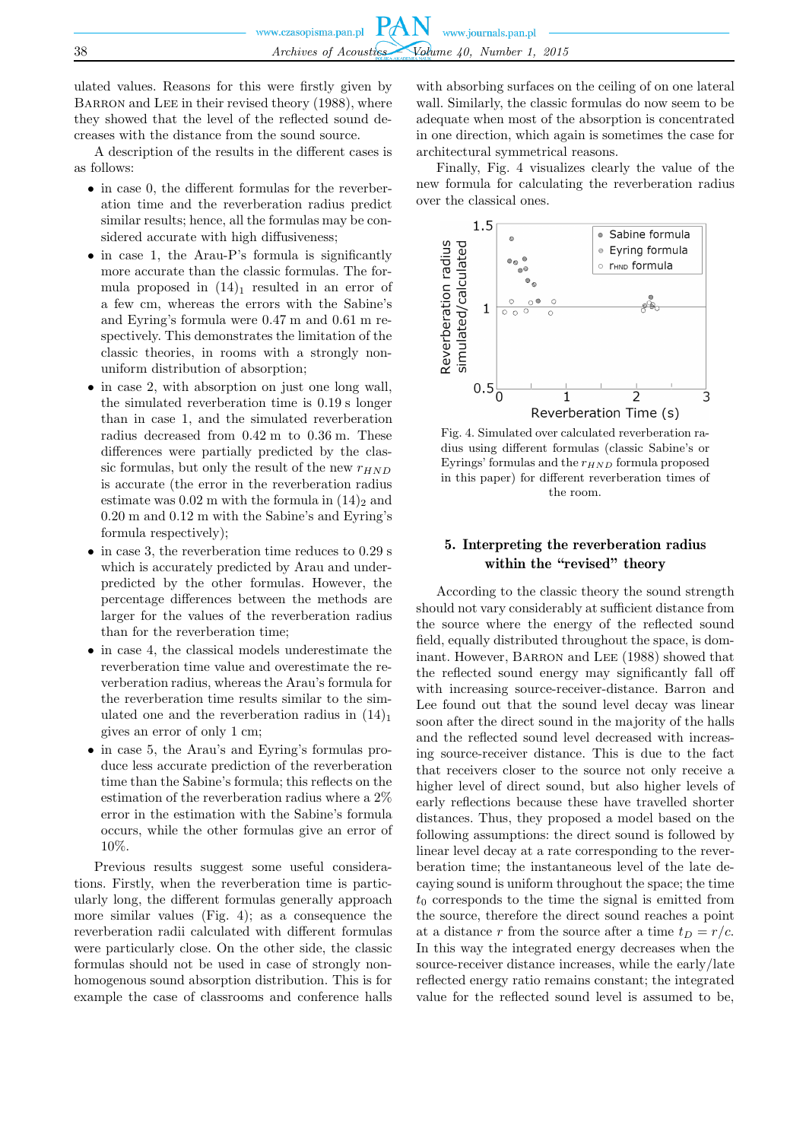ulated values. Reasons for this were firstly given by BARRON and LEE in their revised theory (1988), where they showed that the level of the reflected sound decreases with the distance from the sound source.

A description of the results in the different cases is as follows:

- in case 0, the different formulas for the reverberation time and the reverberation radius predict similar results; hence, all the formulas may be considered accurate with high diffusiveness;
- in case 1, the Arau-P's formula is significantly more accurate than the classic formulas. The formula proposed in  $(14)<sub>1</sub>$  resulted in an error of a few cm, whereas the errors with the Sabine's and Eyring's formula were 0.47 m and 0.61 m respectively. This demonstrates the limitation of the classic theories, in rooms with a strongly nonuniform distribution of absorption;
- in case 2, with absorption on just one long wall, the simulated reverberation time is 0.19 s longer than in case 1, and the simulated reverberation radius decreased from 0.42 m to 0.36 m. These differences were partially predicted by the classic formulas, but only the result of the new  $r_{HND}$ is accurate (the error in the reverberation radius estimate was  $0.02$  m with the formula in  $(14)_{2}$  and 0.20 m and 0.12 m with the Sabine's and Eyring's formula respectively);
- in case 3, the reverberation time reduces to 0.29 s which is accurately predicted by Arau and underpredicted by the other formulas. However, the percentage differences between the methods are larger for the values of the reverberation radius than for the reverberation time;
- in case 4, the classical models underestimate the reverberation time value and overestimate the reverberation radius, whereas the Arau's formula for the reverberation time results similar to the simulated one and the reverberation radius in  $(14)<sub>1</sub>$ gives an error of only 1 cm;
- in case 5, the Arau's and Eyring's formulas produce less accurate prediction of the reverberation time than the Sabine's formula; this reflects on the estimation of the reverberation radius where a 2% error in the estimation with the Sabine's formula occurs, while the other formulas give an error of 10%.

Previous results suggest some useful considerations. Firstly, when the reverberation time is particularly long, the different formulas generally approach more similar values (Fig. 4); as a consequence the reverberation radii calculated with different formulas were particularly close. On the other side, the classic formulas should not be used in case of strongly nonhomogenous sound absorption distribution. This is for example the case of classrooms and conference halls with absorbing surfaces on the ceiling of on one lateral wall. Similarly, the classic formulas do now seem to be adequate when most of the absorption is concentrated in one direction, which again is sometimes the case for architectural symmetrical reasons.

Finally, Fig. 4 visualizes clearly the value of the new formula for calculating the reverberation radius over the classical ones.



Fig. 4. Simulated over calculated reverberation radius using different formulas (classic Sabine's or Eyrings' formulas and the  $r_{HND}$  formula proposed in this paper) for different reverberation times of the room.

### 5. Interpreting the reverberation radius within the "revised" theory

According to the classic theory the sound strength should not vary considerably at sufficient distance from the source where the energy of the reflected sound field, equally distributed throughout the space, is dominant. However, BARRON and LEE (1988) showed that the reflected sound energy may significantly fall off with increasing source-receiver-distance. Barron and Lee found out that the sound level decay was linear soon after the direct sound in the majority of the halls and the reflected sound level decreased with increasing source-receiver distance. This is due to the fact that receivers closer to the source not only receive a higher level of direct sound, but also higher levels of early reflections because these have travelled shorter distances. Thus, they proposed a model based on the following assumptions: the direct sound is followed by linear level decay at a rate corresponding to the reverberation time; the instantaneous level of the late decaying sound is uniform throughout the space; the time  $t_0$  corresponds to the time the signal is emitted from the source, therefore the direct sound reaches a point at a distance r from the source after a time  $t_D = r/c$ . In this way the integrated energy decreases when the source-receiver distance increases, while the early/late reflected energy ratio remains constant; the integrated value for the reflected sound level is assumed to be,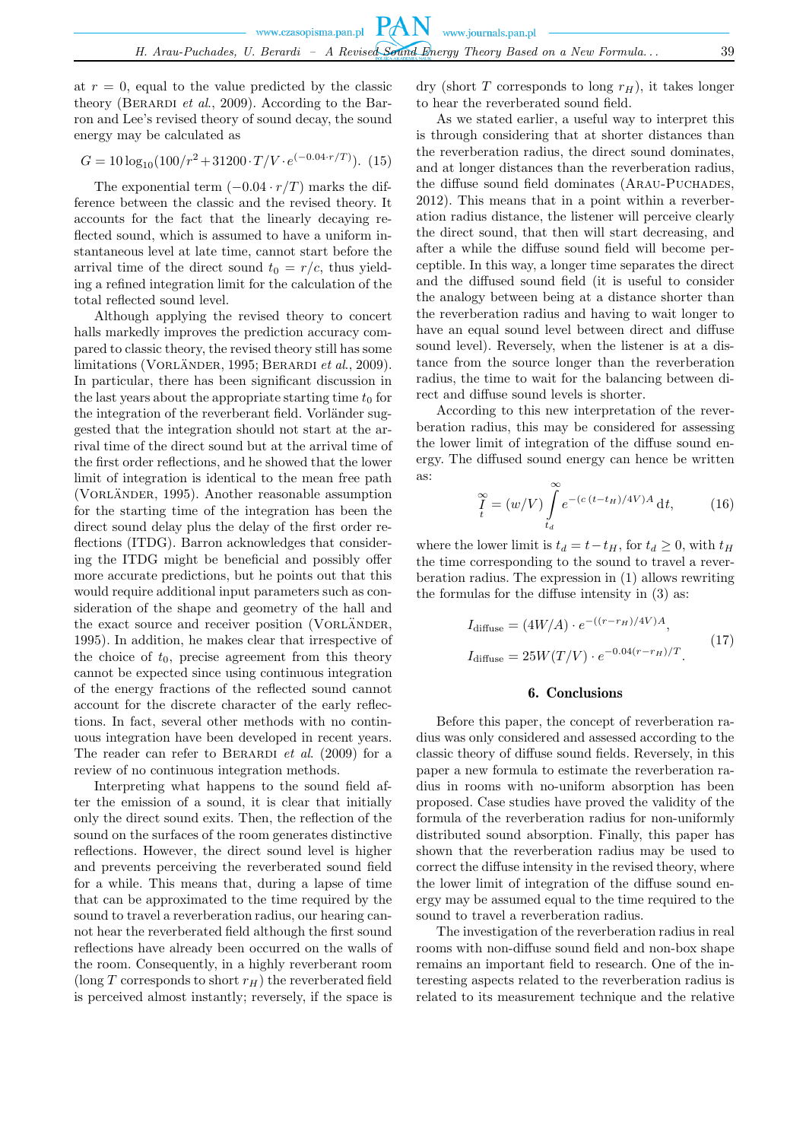at  $r = 0$ , equal to the value predicted by the classic theory (BERARDI *et al.*, 2009). According to the Barron and Lee's revised theory of sound decay, the sound energy may be calculated as

$$
G = 10 \log_{10} (100/r^2 + 31200 \cdot T/V \cdot e^{(-0.04 \cdot r/T)})
$$
. (15)

The exponential term  $(-0.04 \cdot r/T)$  marks the difference between the classic and the revised theory. It accounts for the fact that the linearly decaying reflected sound, which is assumed to have a uniform instantaneous level at late time, cannot start before the arrival time of the direct sound  $t_0 = r/c$ , thus yielding a refined integration limit for the calculation of the total reflected sound level.

Although applying the revised theory to concert halls markedly improves the prediction accuracy compared to classic theory, the revised theory still has some limitations (VORLÄNDER, 1995; BERARDI *et al.*, 2009). In particular, there has been significant discussion in the last years about the appropriate starting time  $t_0$  for the integration of the reverberant field. Vorländer suggested that the integration should not start at the arrival time of the direct sound but at the arrival time of the first order reflections, and he showed that the lower limit of integration is identical to the mean free path (VORLÄNDER, 1995). Another reasonable assumption for the starting time of the integration has been the direct sound delay plus the delay of the first order reflections (ITDG). Barron acknowledges that considering the ITDG might be beneficial and possibly offer more accurate predictions, but he points out that this would require additional input parameters such as consideration of the shape and geometry of the hall and the exact source and receiver position (VORLÄNDER, 1995). In addition, he makes clear that irrespective of the choice of  $t_0$ , precise agreement from this theory cannot be expected since using continuous integration of the energy fractions of the reflected sound cannot account for the discrete character of the early reflections. In fact, several other methods with no continuous integration have been developed in recent years. The reader can refer to BERARDI *et al.* (2009) for a review of no continuous integration methods.

Interpreting what happens to the sound field after the emission of a sound, it is clear that initially only the direct sound exits. Then, the reflection of the sound on the surfaces of the room generates distinctive reflections. However, the direct sound level is higher and prevents perceiving the reverberated sound field for a while. This means that, during a lapse of time that can be approximated to the time required by the sound to travel a reverberation radius, our hearing cannot hear the reverberated field although the first sound reflections have already been occurred on the walls of the room. Consequently, in a highly reverberant room (long T corresponds to short  $r_H$ ) the reverberated field is perceived almost instantly; reversely, if the space is dry (short T corresponds to long  $r_H$ ), it takes longer to hear the reverberated sound field.

As we stated earlier, a useful way to interpret this is through considering that at shorter distances than the reverberation radius, the direct sound dominates, and at longer distances than the reverberation radius, the diffuse sound field dominates (ARAU-PUCHADES, 2012). This means that in a point within a reverberation radius distance, the listener will perceive clearly the direct sound, that then will start decreasing, and after a while the diffuse sound field will become perceptible. In this way, a longer time separates the direct and the diffused sound field (it is useful to consider the analogy between being at a distance shorter than the reverberation radius and having to wait longer to have an equal sound level between direct and diffuse sound level). Reversely, when the listener is at a distance from the source longer than the reverberation radius, the time to wait for the balancing between direct and diffuse sound levels is shorter.

According to this new interpretation of the reverberation radius, this may be considered for assessing the lower limit of integration of the diffuse sound energy. The diffused sound energy can hence be written as:

$$
\sum_{t}^{\infty} = (w/V) \int_{t_d}^{\infty} e^{-(c(t-t_H)/4V)A} dt, \qquad (16)
$$

where the lower limit is  $t_d = t - t_H$ , for  $t_d \geq 0$ , with  $t_H$ the time corresponding to the sound to travel a reverberation radius. The expression in (1) allows rewriting the formulas for the diffuse intensity in (3) as:

$$
I_{\text{diffuse}} = (4W/A) \cdot e^{-((r - r_H)/4V)A},
$$
  
\n
$$
I_{\text{diffuse}} = 25W(T/V) \cdot e^{-0.04(r - r_H)/T}.
$$
\n(17)

#### 6. Conclusions

Before this paper, the concept of reverberation radius was only considered and assessed according to the classic theory of diffuse sound fields. Reversely, in this paper a new formula to estimate the reverberation radius in rooms with no-uniform absorption has been proposed. Case studies have proved the validity of the formula of the reverberation radius for non-uniformly distributed sound absorption. Finally, this paper has shown that the reverberation radius may be used to correct the diffuse intensity in the revised theory, where the lower limit of integration of the diffuse sound energy may be assumed equal to the time required to the sound to travel a reverberation radius.

The investigation of the reverberation radius in real rooms with non-diffuse sound field and non-box shape remains an important field to research. One of the interesting aspects related to the reverberation radius is related to its measurement technique and the relative